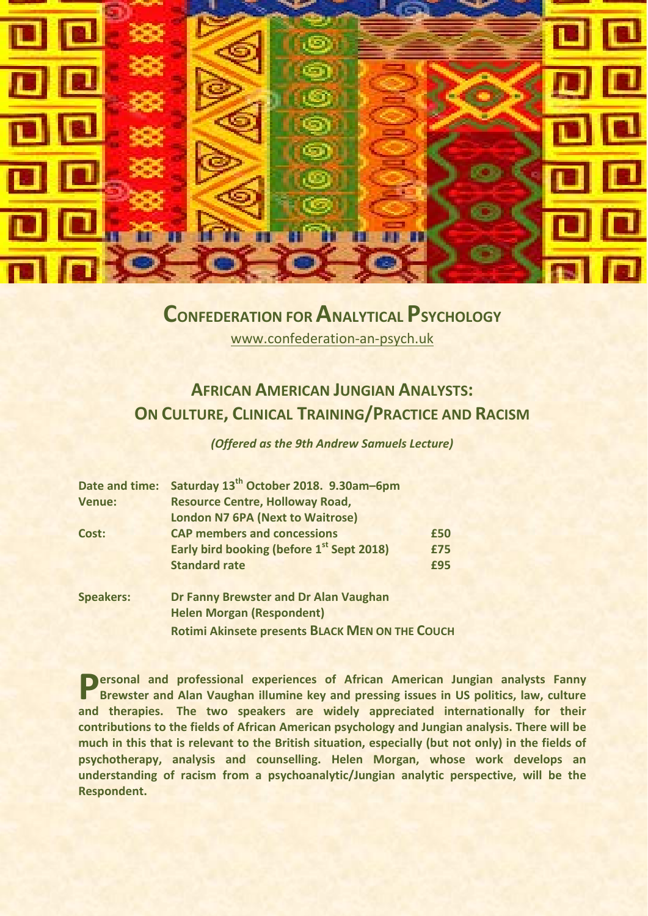

## **CONFEDERATION FOR ANALYTICAL PSYCHOLOGY**

[www.confederation-an-psych.uk](http://www.confederation-an-psych.uk/)

## **AFRICAN AMERICAN JUNGIAN ANALYSTS: ON CULTURE, CLINICAL TRAINING/PRACTICE AND RACISM**

*(Offered as the 9th Andrew Samuels Lecture)*

| Date and time:   | Saturday 13 <sup>th</sup> October 2018. 9.30am-6pm    |     |
|------------------|-------------------------------------------------------|-----|
| <b>Venue:</b>    | <b>Resource Centre, Holloway Road,</b>                |     |
|                  | <b>London N7 6PA (Next to Waitrose)</b>               |     |
| Cost:            | <b>CAP members and concessions</b>                    | £50 |
|                  | Early bird booking (before 1 <sup>st</sup> Sept 2018) | £75 |
|                  | <b>Standard rate</b>                                  | £95 |
| <b>Speakers:</b> | Dr Fanny Brewster and Dr Alan Vaughan                 |     |
|                  | <b>Helen Morgan (Respondent)</b>                      |     |

**ersonal and professional experiences of African American Jungian analysts Fanny Brewster and Alan Vaughan illumine key and pressing issues in US politics, law, culture Brewster and Alan Vaughan illumine key and pressing issues in US politics, law, culture and therapies. The two speakers are widely appreciated internationally for their contributions to the fields of African American psychology and Jungian analysis. There will be much in this that is relevant to the British situation, especially (but not only) in the fields of psychotherapy, analysis and counselling. Helen Morgan, whose work develops an understanding of racism from a psychoanalytic/Jungian analytic perspective, will be the Respondent.**

**Rotimi Akinsete presents BLACK MEN ON THE COUCH**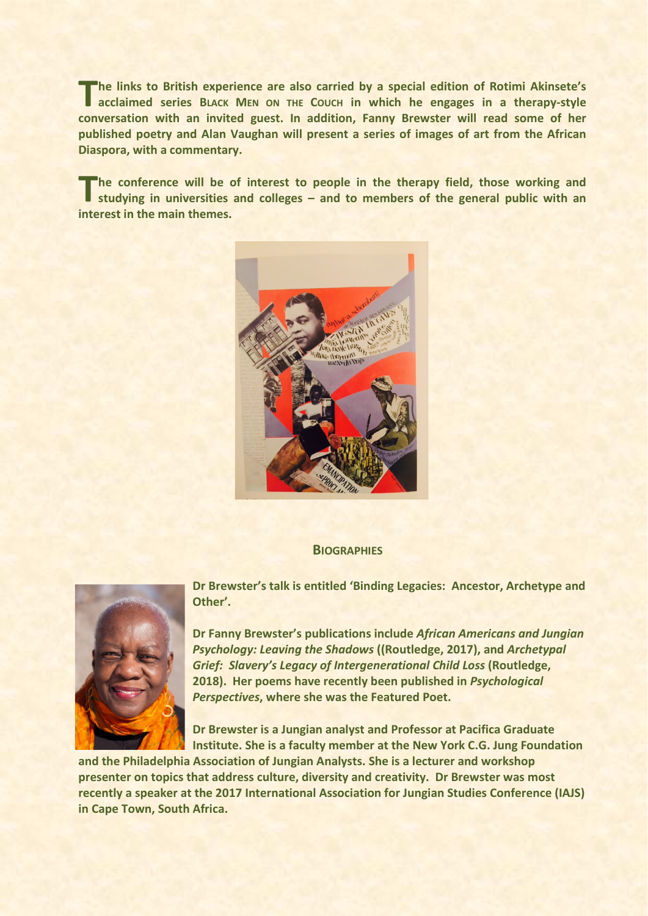**he links to British experience are also carried by a special edition of Rotimi Akinsete's acclaimed** series BLACK MEN ON THE COUCH in which he engages in a therapy-style acclaimed series BLACK MEN ON THE COUCH in which he engages in a therapy-style **conversation with an invited guest. In addition, Fanny Brewster will read some of her published poetry and Alan Vaughan will present a series of images of art from the African Diaspora, with a commentary.**

**he conference will be of interest to people in the therapy field, those working and inc** the conference will be of interest to people in the therapy field, those working and studying in universities and colleges – and to members of the general public with an **interest in the main themes.** 



## **BIOGRAPHIES**



**Dr Brewster's talk is entitled 'Binding Legacies: Ancestor, Archetype and Other'.** 

**Dr Fanny Brewster's publications include** *African Americans and Jungian Psychology: Leaving the Shadows* **((Routledge, 2017), and** *Archetypal Grief: Slavery's Legacy of Intergenerational Child Loss* **(Routledge, 2018). Her poems have recently been published in** *Psychological Perspectives***, where she was the Featured Poet.** 

**Dr Brewster is a Jungian analyst and Professor at Pacifica Graduate Institute. She is a faculty member at the New York C.G. Jung Foundation** 

**and the Philadelphia Association of Jungian Analysts. She is a lecturer and workshop presenter on topics that address culture, diversity and creativity. Dr Brewster was most recently a speaker at the 2017 International Association for Jungian Studies Conference (IAJS) in Cape Town, South Africa.**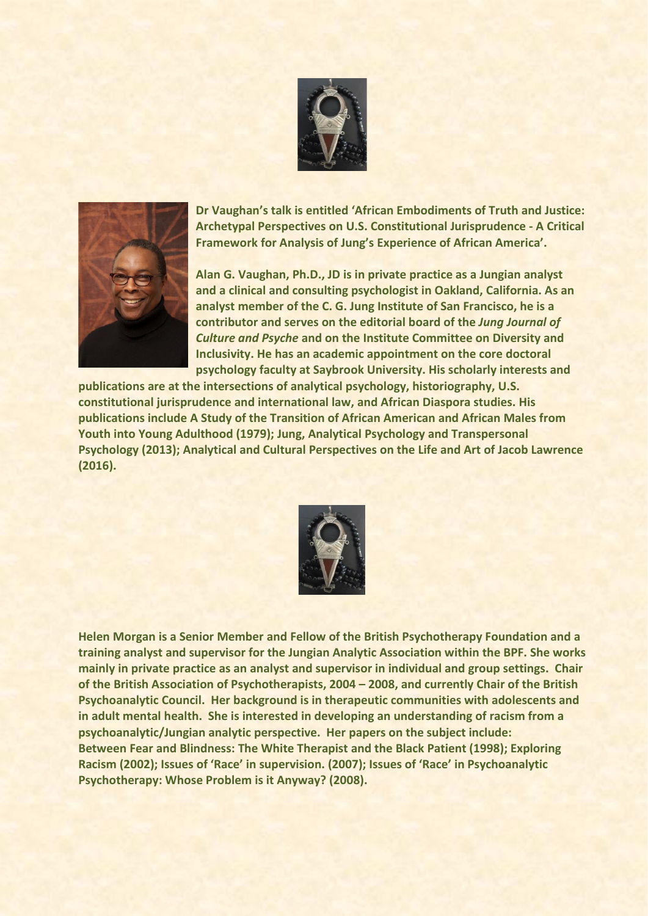



**Dr Vaughan's talk is entitled 'African Embodiments of Truth and Justice: Archetypal Perspectives on U.S. Constitutional Jurisprudence - A Critical Framework for Analysis of Jung's Experience of African America'.** 

**Alan G. Vaughan, Ph.D., JD is in private practice as a Jungian analyst and a clinical and consulting psychologist in Oakland, California. As an analyst member of the C. G. Jung Institute of San Francisco, he is a contributor and serves on the editorial board of the** *Jung Journal of Culture and Psyche* **and on the Institute Committee on Diversity and Inclusivity. He has an academic appointment on the core doctoral psychology faculty at Saybrook University. His scholarly interests and** 

**publications are at the intersections of analytical psychology, historiography, U.S. constitutional jurisprudence and international law, and African Diaspora studies. His publications include A Study of the Transition of African American and African Males from Youth into Young Adulthood (1979); Jung, Analytical Psychology and Transpersonal Psychology (2013); Analytical and Cultural Perspectives on the Life and Art of Jacob Lawrence (2016).**



**Helen Morgan is a Senior Member and Fellow of the British Psychotherapy Foundation and a training analyst and supervisor for the Jungian Analytic Association within the BPF. She works mainly in private practice as an analyst and supervisor in individual and group settings. Chair of the British Association of Psychotherapists, 2004 – 2008, and currently Chair of the British Psychoanalytic Council. Her background is in therapeutic communities with adolescents and in adult mental health. She is interested in developing an understanding of racism from a psychoanalytic/Jungian analytic perspective. Her papers on the subject include: Between Fear and Blindness: The White Therapist and the Black Patient (1998); Exploring Racism (2002); Issues of 'Race' in supervision. (2007); Issues of 'Race' in Psychoanalytic Psychotherapy: Whose Problem is it Anyway? (2008).**